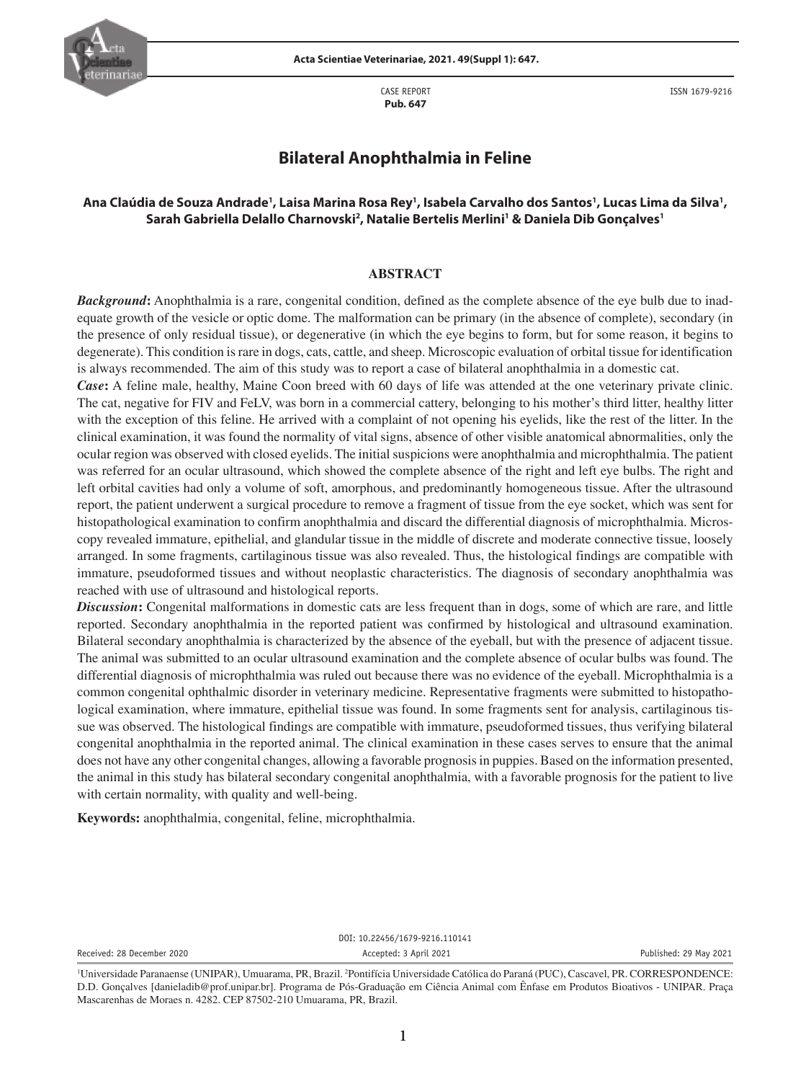

CASE REPORT **Pub. 647**

ISSN 1679-9216

# **Bilateral Anophthalmia in Feline**

## Ana Claúdia de Souza Andrade', Laisa Marina Rosa Rey', Isabela Carvalho dos Santos', Lucas Lima da Silva', **Sarah Gabriella Delallo Charnovski2 , Natalie Bertelis Merlini1 & Daniela Dib Gonçalves1**

#### **ABSTRACT**

*Background***:** Anophthalmia is a rare, congenital condition, defined as the complete absence of the eye bulb due to inadequate growth of the vesicle or optic dome. The malformation can be primary (in the absence of complete), secondary (in the presence of only residual tissue), or degenerative (in which the eye begins to form, but for some reason, it begins to degenerate). This condition is rare in dogs, cats, cattle, and sheep. Microscopic evaluation of orbital tissue for identification is always recommended. The aim of this study was to report a case of bilateral anophthalmia in a domestic cat.

*Case***:** A feline male, healthy, Maine Coon breed with 60 days of life was attended at the one veterinary private clinic. The cat, negative for FIV and FeLV, was born in a commercial cattery, belonging to his mother's third litter, healthy litter with the exception of this feline. He arrived with a complaint of not opening his eyelids, like the rest of the litter. In the clinical examination, it was found the normality of vital signs, absence of other visible anatomical abnormalities, only the ocular region was observed with closed eyelids. The initial suspicions were anophthalmia and microphthalmia. The patient was referred for an ocular ultrasound, which showed the complete absence of the right and left eye bulbs. The right and left orbital cavities had only a volume of soft, amorphous, and predominantly homogeneous tissue. After the ultrasound report, the patient underwent a surgical procedure to remove a fragment of tissue from the eye socket, which was sent for histopathological examination to confirm anophthalmia and discard the differential diagnosis of microphthalmia. Microscopy revealed immature, epithelial, and glandular tissue in the middle of discrete and moderate connective tissue, loosely arranged. In some fragments, cartilaginous tissue was also revealed. Thus, the histological findings are compatible with immature, pseudoformed tissues and without neoplastic characteristics. The diagnosis of secondary anophthalmia was reached with use of ultrasound and histological reports.

*Discussion***:** Congenital malformations in domestic cats are less frequent than in dogs, some of which are rare, and little reported. Secondary anophthalmia in the reported patient was confirmed by histological and ultrasound examination. Bilateral secondary anophthalmia is characterized by the absence of the eyeball, but with the presence of adjacent tissue. The animal was submitted to an ocular ultrasound examination and the complete absence of ocular bulbs was found. The differential diagnosis of microphthalmia was ruled out because there was no evidence of the eyeball. Microphthalmia is a common congenital ophthalmic disorder in veterinary medicine. Representative fragments were submitted to histopathological examination, where immature, epithelial tissue was found. In some fragments sent for analysis, cartilaginous tissue was observed. The histological findings are compatible with immature, pseudoformed tissues, thus verifying bilateral congenital anophthalmia in the reported animal. The clinical examination in these cases serves to ensure that the animal does not have any other congenital changes, allowing a favorable prognosis in puppies. Based on the information presented, the animal in this study has bilateral secondary congenital anophthalmia, with a favorable prognosis for the patient to live with certain normality, with quality and well-being.

**Keywords:** anophthalmia, congenital, feline, microphthalmia.

DOI: 10.22456/1679-9216.110141

Received: 28 December 2020 **Accepted: 3 April 2021** Accepted: 3 April 2021 **Published: 29 May 2021** 

<sup>&</sup>lt;sup>1</sup>Universidade Paranaense (UNIPAR), Umuarama, PR, Brazil. <sup>2</sup>Pontifícia Universidade Católica do Paraná (PUC), Cascavel, PR. CORRESPONDENCE: D.D. Gonçalves [danieladib@prof.unipar.br]. Programa de Pós-Graduação em Ciência Animal com Ênfase em Produtos Bioativos - UNIPAR. Praça Mascarenhas de Moraes n. 4282. CEP 87502-210 Umuarama, PR, Brazil.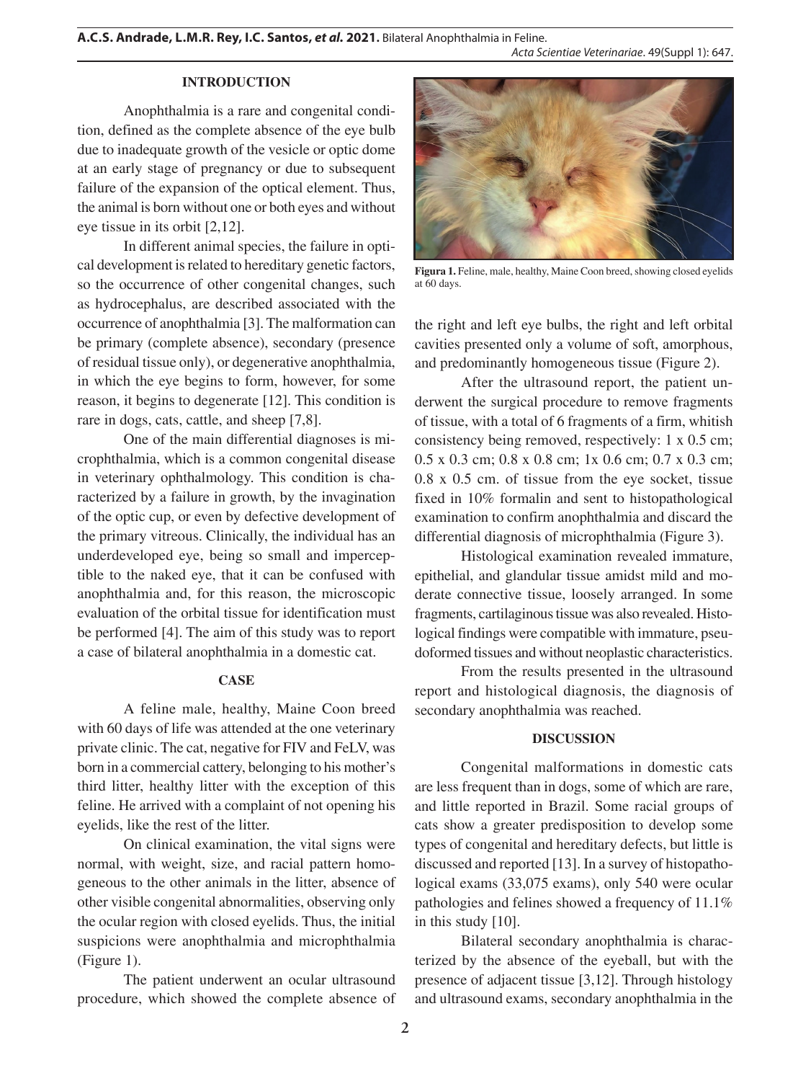#### **INTRODUCTION**

Anophthalmia is a rare and congenital condition, defined as the complete absence of the eye bulb due to inadequate growth of the vesicle or optic dome at an early stage of pregnancy or due to subsequent failure of the expansion of the optical element. Thus, the animal is born without one or both eyes and without eye tissue in its orbit [2,12].

In different animal species, the failure in optical development is related to hereditary genetic factors, so the occurrence of other congenital changes, such as hydrocephalus, are described associated with the occurrence of anophthalmia [3]. The malformation can be primary (complete absence), secondary (presence of residual tissue only), or degenerative anophthalmia, in which the eye begins to form, however, for some reason, it begins to degenerate [12]. This condition is rare in dogs, cats, cattle, and sheep [7,8].

One of the main differential diagnoses is microphthalmia, which is a common congenital disease in veterinary ophthalmology. This condition is characterized by a failure in growth, by the invagination of the optic cup, or even by defective development of the primary vitreous. Clinically, the individual has an underdeveloped eye, being so small and imperceptible to the naked eye, that it can be confused with anophthalmia and, for this reason, the microscopic evaluation of the orbital tissue for identification must be performed [4]. The aim of this study was to report a case of bilateral anophthalmia in a domestic cat.

### **CASE**

A feline male, healthy, Maine Coon breed with 60 days of life was attended at the one veterinary private clinic. The cat, negative for FIV and FeLV, was born in a commercial cattery, belonging to his mother's third litter, healthy litter with the exception of this feline. He arrived with a complaint of not opening his eyelids, like the rest of the litter.

On clinical examination, the vital signs were normal, with weight, size, and racial pattern homogeneous to the other animals in the litter, absence of other visible congenital abnormalities, observing only the ocular region with closed eyelids. Thus, the initial suspicions were anophthalmia and microphthalmia (Figure 1).

The patient underwent an ocular ultrasound procedure, which showed the complete absence of



**Figura 1.** Feline, male, healthy, Maine Coon breed, showing closed eyelids at 60 days.

the right and left eye bulbs, the right and left orbital cavities presented only a volume of soft, amorphous, and predominantly homogeneous tissue (Figure 2).

After the ultrasound report, the patient underwent the surgical procedure to remove fragments of tissue, with a total of 6 fragments of a firm, whitish consistency being removed, respectively: 1 x 0.5 cm; 0.5 x 0.3 cm; 0.8 x 0.8 cm; 1x 0.6 cm; 0.7 x 0.3 cm; 0.8 x 0.5 cm. of tissue from the eye socket, tissue fixed in 10% formalin and sent to histopathological examination to confirm anophthalmia and discard the differential diagnosis of microphthalmia (Figure 3).

Histological examination revealed immature, epithelial, and glandular tissue amidst mild and moderate connective tissue, loosely arranged. In some fragments, cartilaginous tissue was also revealed. Histological findings were compatible with immature, pseudoformed tissues and without neoplastic characteristics.

From the results presented in the ultrasound report and histological diagnosis, the diagnosis of secondary anophthalmia was reached.

### **DISCUSSION**

Congenital malformations in domestic cats are less frequent than in dogs, some of which are rare, and little reported in Brazil. Some racial groups of cats show a greater predisposition to develop some types of congenital and hereditary defects, but little is discussed and reported [13]. In a survey of histopathological exams (33,075 exams), only 540 were ocular pathologies and felines showed a frequency of 11.1% in this study [10].

Bilateral secondary anophthalmia is characterized by the absence of the eyeball, but with the presence of adjacent tissue [3,12]. Through histology and ultrasound exams, secondary anophthalmia in the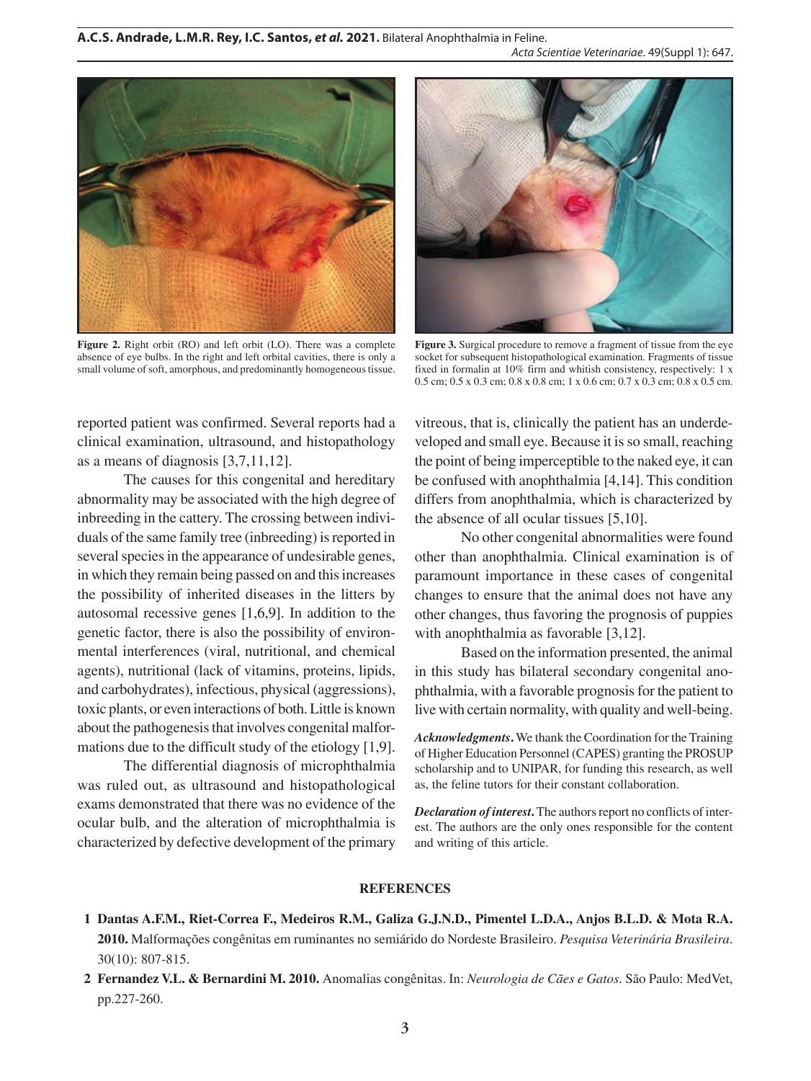

**Figure 2.** Right orbit (RO) and left orbit (LO). There was a complete absence of eye bulbs. In the right and left orbital cavities, there is only a small volume of soft, amorphous, and predominantly homogeneous tissue.



**Figure 3.** Surgical procedure to remove a fragment of tissue from the eye socket for subsequent histopathological examination. Fragments of tissue fixed in formalin at 10% firm and whitish consistency, respectively: 1 x 0.5 cm; 0.5 x 0.3 cm; 0.8 x 0.8 cm; 1 x 0.6 cm; 0.7 x 0.3 cm; 0.8 x 0.5 cm.

reported patient was confirmed. Several reports had a clinical examination, ultrasound, and histopathology as a means of diagnosis [3,7,11,12].

The causes for this congenital and hereditary abnormality may be associated with the high degree of inbreeding in the cattery. The crossing between individuals of the same family tree (inbreeding) is reported in several species in the appearance of undesirable genes, in which they remain being passed on and this increases the possibility of inherited diseases in the litters by autosomal recessive genes [1,6,9]. In addition to the genetic factor, there is also the possibility of environmental interferences (viral, nutritional, and chemical agents), nutritional (lack of vitamins, proteins, lipids, and carbohydrates), infectious, physical (aggressions), toxic plants, or even interactions of both. Little is known about the pathogenesis that involves congenital malformations due to the difficult study of the etiology [1,9].

The differential diagnosis of microphthalmia was ruled out, as ultrasound and histopathological exams demonstrated that there was no evidence of the ocular bulb, and the alteration of microphthalmia is characterized by defective development of the primary

vitreous, that is, clinically the patient has an underdeveloped and small eye. Because it is so small, reaching the point of being imperceptible to the naked eye, it can be confused with anophthalmia [4,14]. This condition differs from anophthalmia, which is characterized by the absence of all ocular tissues [5,10].

No other congenital abnormalities were found other than anophthalmia. Clinical examination is of paramount importance in these cases of congenital changes to ensure that the animal does not have any other changes, thus favoring the prognosis of puppies with anophthalmia as favorable [3,12].

Based on the information presented, the animal in this study has bilateral secondary congenital anophthalmia, with a favorable prognosis for the patient to live with certain normality, with quality and well-being.

*Acknowledgments***.** We thank the Coordination for the Training of Higher Education Personnel (CAPES) granting the PROSUP scholarship and to UNIPAR, for funding this research, as well as, the feline tutors for their constant collaboration.

*Declaration of interest***.** The authors report no conflicts of interest. The authors are the only ones responsible for the content and writing of this article.

#### **REFERENCES**

- **1 Dantas A.F.M., Riet-Correa F., Medeiros R.M., Galiza G.J.N.D., Pimentel L.D.A., Anjos B.L.D. & Mota R.A. 2010.** Malformações congênitas em ruminantes no semiárido do Nordeste Brasileiro. *Pesquisa Veterinária Brasileira*. 30(10): 807-815.
- **2 Fernandez V.L. & Bernardini M. 2010.** Anomalias congênitas. In: *Neurologia de Cães e Gatos*. São Paulo: MedVet, pp.227-260.